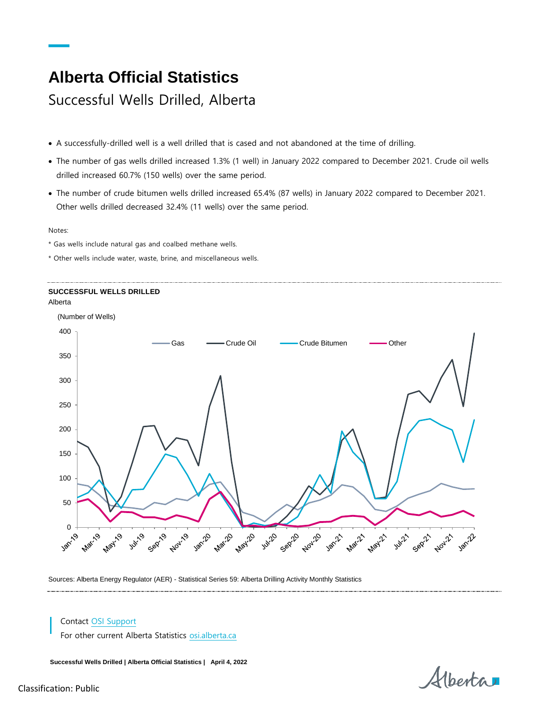## **Alberta Official Statistics**

Successful Wells Drilled, Alberta

- A successfully-drilled well is a well drilled that is cased and not abandoned at the time of drilling.
- The number of gas wells drilled increased 1.3% (1 well) in January 2022 compared to December 2021. Crude oil wells drilled increased 60.7% (150 wells) over the same period.
- The number of crude bitumen wells drilled increased 65.4% (87 wells) in January 2022 compared to December 2021. Other wells drilled decreased 32.4% (11 wells) over the same period.

Notes:

- \* Gas wells include natural gas and coalbed methane wells.
- \* Other wells include water, waste, brine, and miscellaneous wells.

## **SUCCESSFUL WELLS DRILLED** Alberta



Sources: Alberta Energy Regulator (AER) - Statistical Series 59: Alberta Drilling Activity Monthly Statistics

## Contact [OSI Support](mailto:osi.support%40gov.ab.ca?subject=Alberta%20Official%20Statistics%3A%20Consumer%20Price%20Index)

For other current Alberta Statistics [osi.alberta.ca](file://///GOA.ds.gov.ab.ca/APPS/InDesign/_OSI_Publications/Statistical-Services-Jacques/AOS%20Fact%20Sheets/25_ConsumerPriceIndex/osi.alberta.ca)

**Successful Wells Drilled | Alberta Official Statistics | April 4, 2022**

Alberta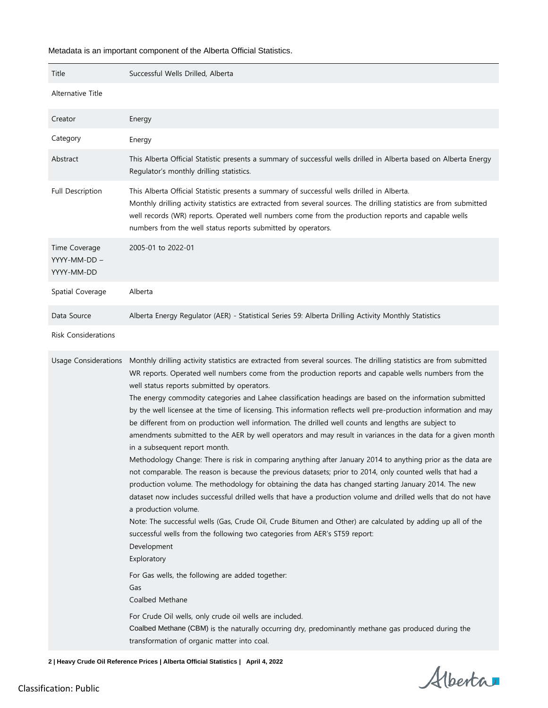## Metadata is an important component of the Alberta Official Statistics.

| Title                                       | Successful Wells Drilled, Alberta                                                                                                                                                                                                                                                                                                                                                                                                                                                                                                                                                                                                                                                                                                                                                                                                                                                                                                                                                                                                                                                                                                                                                                                                                                                                                                                                                                                                                                                                                                                                                                                                                                                                                                                                            |
|---------------------------------------------|------------------------------------------------------------------------------------------------------------------------------------------------------------------------------------------------------------------------------------------------------------------------------------------------------------------------------------------------------------------------------------------------------------------------------------------------------------------------------------------------------------------------------------------------------------------------------------------------------------------------------------------------------------------------------------------------------------------------------------------------------------------------------------------------------------------------------------------------------------------------------------------------------------------------------------------------------------------------------------------------------------------------------------------------------------------------------------------------------------------------------------------------------------------------------------------------------------------------------------------------------------------------------------------------------------------------------------------------------------------------------------------------------------------------------------------------------------------------------------------------------------------------------------------------------------------------------------------------------------------------------------------------------------------------------------------------------------------------------------------------------------------------------|
| Alternative Title                           |                                                                                                                                                                                                                                                                                                                                                                                                                                                                                                                                                                                                                                                                                                                                                                                                                                                                                                                                                                                                                                                                                                                                                                                                                                                                                                                                                                                                                                                                                                                                                                                                                                                                                                                                                                              |
| Creator                                     | Energy                                                                                                                                                                                                                                                                                                                                                                                                                                                                                                                                                                                                                                                                                                                                                                                                                                                                                                                                                                                                                                                                                                                                                                                                                                                                                                                                                                                                                                                                                                                                                                                                                                                                                                                                                                       |
| Category                                    | Energy                                                                                                                                                                                                                                                                                                                                                                                                                                                                                                                                                                                                                                                                                                                                                                                                                                                                                                                                                                                                                                                                                                                                                                                                                                                                                                                                                                                                                                                                                                                                                                                                                                                                                                                                                                       |
| Abstract                                    | This Alberta Official Statistic presents a summary of successful wells drilled in Alberta based on Alberta Energy<br>Regulator's monthly drilling statistics.                                                                                                                                                                                                                                                                                                                                                                                                                                                                                                                                                                                                                                                                                                                                                                                                                                                                                                                                                                                                                                                                                                                                                                                                                                                                                                                                                                                                                                                                                                                                                                                                                |
| Full Description                            | This Alberta Official Statistic presents a summary of successful wells drilled in Alberta.<br>Monthly drilling activity statistics are extracted from several sources. The drilling statistics are from submitted<br>well records (WR) reports. Operated well numbers come from the production reports and capable wells<br>numbers from the well status reports submitted by operators.                                                                                                                                                                                                                                                                                                                                                                                                                                                                                                                                                                                                                                                                                                                                                                                                                                                                                                                                                                                                                                                                                                                                                                                                                                                                                                                                                                                     |
| Time Coverage<br>YYYY-MM-DD -<br>YYYY-MM-DD | 2005-01 to 2022-01                                                                                                                                                                                                                                                                                                                                                                                                                                                                                                                                                                                                                                                                                                                                                                                                                                                                                                                                                                                                                                                                                                                                                                                                                                                                                                                                                                                                                                                                                                                                                                                                                                                                                                                                                           |
| Spatial Coverage                            | Alberta                                                                                                                                                                                                                                                                                                                                                                                                                                                                                                                                                                                                                                                                                                                                                                                                                                                                                                                                                                                                                                                                                                                                                                                                                                                                                                                                                                                                                                                                                                                                                                                                                                                                                                                                                                      |
| Data Source                                 | Alberta Energy Regulator (AER) - Statistical Series 59: Alberta Drilling Activity Monthly Statistics                                                                                                                                                                                                                                                                                                                                                                                                                                                                                                                                                                                                                                                                                                                                                                                                                                                                                                                                                                                                                                                                                                                                                                                                                                                                                                                                                                                                                                                                                                                                                                                                                                                                         |
| <b>Risk Considerations</b>                  |                                                                                                                                                                                                                                                                                                                                                                                                                                                                                                                                                                                                                                                                                                                                                                                                                                                                                                                                                                                                                                                                                                                                                                                                                                                                                                                                                                                                                                                                                                                                                                                                                                                                                                                                                                              |
| <b>Usage Considerations</b>                 | Monthly drilling activity statistics are extracted from several sources. The drilling statistics are from submitted<br>WR reports. Operated well numbers come from the production reports and capable wells numbers from the<br>well status reports submitted by operators.<br>The energy commodity categories and Lahee classification headings are based on the information submitted<br>by the well licensee at the time of licensing. This information reflects well pre-production information and may<br>be different from on production well information. The drilled well counts and lengths are subject to<br>amendments submitted to the AER by well operators and may result in variances in the data for a given month<br>in a subsequent report month.<br>Methodology Change: There is risk in comparing anything after January 2014 to anything prior as the data are<br>not comparable. The reason is because the previous datasets; prior to 2014, only counted wells that had a<br>production volume. The methodology for obtaining the data has changed starting January 2014. The new<br>dataset now includes successful drilled wells that have a production volume and drilled wells that do not have<br>a production volume.<br>Note: The successful wells (Gas, Crude Oil, Crude Bitumen and Other) are calculated by adding up all of the<br>successful wells from the following two categories from AER's ST59 report:<br>Development<br>Exploratory<br>For Gas wells, the following are added together:<br>Gas<br>Coalbed Methane<br>For Crude Oil wells, only crude oil wells are included.<br>Coalbed Methane (CBM) is the naturally occurring dry, predominantly methane gas produced during the<br>transformation of organic matter into coal. |

**2 | Heavy Crude Oil Reference Prices | Alberta Official Statistics | April 4, 2022**

Alberta